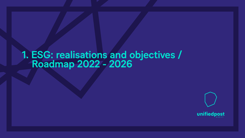## 1. ESG: realisations and objectives / Roadmap 2022 - 2026



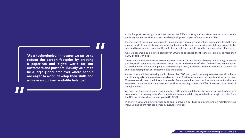At Unifiedpost, we recognize and are aware that ESG is playing an important role in our corporate performance. We consider that sustainable development is part of our corporate DNA.

Indeed, one of our major focus points is facilitating e-invoicing and helping companies to shift from a paper world to an electronic way of doing business. Not only can environmental improvements be achieved by using less paper, but this will also cut off energy costs from the transportation of invoices.

Also, we became a public listed company in 2020 and exceeded the threshold of employing more than 1.000 people worldwide.

These milestones increased our awareness even more on the importance of strengthening our governance policies, environmental conscience and the attraction and retention of talent. We want to use our abilities to unleash talents in our company to resolve complexities, overcome problems and foster sustainable solutions helping both our customers and the planet.

We are convinced that by having put in place a clear ESG policy and operating framework we will achieve our ultimate goal to act towards sustainable outcomes for the environment, our people and our customers. Moreover, we will meet the information needs of our stakeholders such as investors, current and future employees and customers and partners, as they increasingly value the ESG dimension of our (way of doing) business.

We have put together an ambitious and robust ESG roadmap detailing the journey we want to take as a company for the coming years. Our commitment to sustainability is grounded in strategic priorities from the UN sustainable development goals (UN SDG).

In short, in 2022 we aim to further build and improve on our ESG framework, and on maintaining our inclusive and talent-focused company culture worldwide.

**"As a technological innovator we strive to reduce the carbon footprint by creating a paperless and digital world for our customers and partners. Equally we aim to be a large global employer where people are eager to work, develop their skills and achieve an optimal work-life balance."**



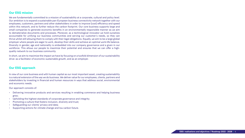## **Our ESG mission**

We are fundamentally committed to a mission of sustainability at a corporate, cultural and policy level. Our ambition is to expand a sustainable pan-European business connectivity network together with our employees, customers, partners and other stakeholders in order to improve (cost) efficiency and speed within this network, and to further reduce the carbon footprint. Our core business supports large and small companies to generate economic benefits in an environmentally responsible manner as we aim to dematerialize documents and processes. Moreover, as a technological innovator we hold ourselves accountable for unifying our business communities and serving our customer's needs, so they can thrive whilst still allowing them to comply with their legal obligations. Equally, we aim to be a large global employer where people are eager to work, develop their skills and achieve an optimal work-life balance. Diversity in gender, age and nationality is embedded into our company governance and a given in our workforce. This allows our people to maximize their potential and ensures that we can offer a highquality network to our business community.

In short, we aim to maximize the impact we have by focusing on a twofold dimension of our sustainability drive: as a facilitator of economic sustainable growth, and as an employer.

## **Our ESG approach**

In view of our core business and with human capital as our most important asset, creating sustainability is a natural extension of the way we do business. We deliver value for our employees, clients, partners and stakeholders by investing in financial and human resources in ways that address social, environmental and economic needs.

Our approach consists of:

- Delivering innovative products and services resulting in enabling commerce and helping business grow;
- Upholding the highest standards of corporate governance and integrity;
- Promoting a culture that fosters inclusion, diversity and trust;
- Safeguarding our clients' privacy and data;
- Supporting actions for climate change and low carbon future.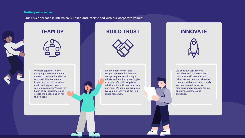## **TEAM UP BUILD TRUST INNOVATE**



We work together in one company where everyone is valued, considered and takes responsibility. We are an important part of the value chain and aspire towards win-win solutions. We actively listen to our customers and create the best solution for their needs.

We are open, honest and supportive to each other. We recognize great results, right efforts and inspire by leading by example. We build long-term relationships with customers and partners. We keep our promises. We value integrity and act in a sustainable way.



We continuously develop ourselves and share our best practices and ideas with each other. We are one step ahead of the market demands and trends. We create new innovative solutions and processes for our customer, partners and ourselves.

## Our ESG approach is intrinsically linked and intertwined with our corporate values:





#### **Unifiedpost's values**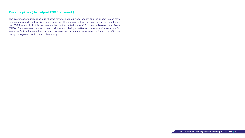## **Our core pillars (Unifiedpost ESG Framework)**

The awareness of our responsibility that we have towards our global society and the impact we can have as a company and employer is growing every day. This awareness has been instrumental in developing our ESG framework. In this, we were guided by the United Nations' Sustainable Development Goals (SDGs). This framework allows us to contribute in achieving a better and more sustainable future for everyone. With all stakeholders in mind, we want to continuously maximize our impact via effective policy management and profound leadership.

- 
- 

**ESG: realisations and objectives / Roadmap 2022 - 2026** | 6

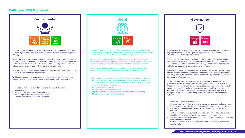### **Unifiedpost ESG Framework**

- Increasing number of saved trees due to the use of electronical documents
- Targets in the energy use of data centers
- Percentage of our revenue invested in R&D
- Constitute a #TeamGreen at Unifiedpost



As it is our core business to create a sustainable financial ecosystem across borders, digitalization and innovation are key for our company and its growth strategy.

Within our procurement management, sustainable goals will be taken into account when it comes to purchasing of goods and facility management.<br>Account when it comes to purchasing of goods and facility management.

We are the first pan-European business connectivity network which facilitates all companies to streamline their business by improving efficiency, speed and costs within this network. This allows our customers and partners to create value without having to deal with the administrative burden

Less physical documents means less paper and a positive impact on mobility because of less document transportation.

> - Equal pay for equal work: Unifiedpost employs a fair pay practice which ensures that salaries are market competitive for the same/similar jobs,

- Report on composition of the board
- Whistleblowing procedure available to customers/partners and employees
- Implementing privacy by design in the core of our products and services
- Procurement management framework with sustainability goals for our partners
- Further development of our centralized data protection office to ensure an equal level of data protection for our customers and partners
- Risk management by refining our risk management framework and improving our three lines of defence
- Further development of the Compliance function to identify, detect and monitor risks
- qualifications and experience
- Employee feedback survey
- Engage colleagues in sustainability
- 
- Flexible work and caretaking initiatives

# **3** GOOD HEALTH<br>**3** AND WELL-BEING 8

- Organization and reporting on employee and leadership training

**Social**

Unifiedpost instils a culture of respect and empathy for its employees and the community at large. We believe that diversity and inclusion strategies are the catalyst for success and innovation in the workplace.

We encourage flexible working and maximalization of work-life balance. Health and wellbeing, both physical and financial, are at the forefront of our HR policies, designed to help employees meet their own specific needs

Whistle-blowing channels and other employee related policies are put in place to provide a strong compliance framework to all our employees.

#### **Governance**



Strong governance, integrity and ethical business practices are Unifiedpost's key ingredients to achieve its goal for long-term value creation for shareholders and driving sustainability

The code of conduct assists the Board in the exercise of its responsibilities and to promote the effective functioning of the Board and its committees. The Board's goal is to oversee the direct management in building long-term value for our customers, partners and shareholders.

Due to the nature of our business, we are inherently exposed to information security threats. We have established and maintain an extensive information security program, to reasonably ensure confidentiality, integrity, availability and security of our systems.

As a fundamental human right, privacy is embedded in all our business processes, day-to-day operations, products, and services. All our staff is made aware of the risks inherent to the processing of personal data and both general and specific trainings are organized for our staff. When developing our products and services, we aim to embed the principles of privacy by design were possible. Vendors and partners are thoroughly screened and vetted.

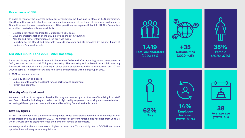

**1.419 Total collaborators** (2020: 854)



**+35 Nationalities** (2020: +25)

**62%** 

Male



**14%** Employee turnover (2020: 10%)



**38**  Average age (2020: 40)





#### **Governance of ESG**

In order to monitor the progress within our organisation, we have put in place an ESG Committee. This Committee consists of at least one independent member of the Board of Directors, two Executive Committee members and several members of the operational management (of which HR). This Committee assembles quarterly and is responsible for:

- Develop a long term roadmap for Unifiedpost's ESG goals;
- Drive the implementation of the ESG policy and the set KPI's/OKR;
- Monitor and gather information on the progress made;
- Reporting to the Board and externally towards investors and stakeholders by making it part of Unifiedpost's annual reports.

## **Our 2021 ESG KPI and 2022 – 2026 Roadmap**

We are committed to workplace diversity. For long we have recognized the benefits arising from staff and Board diversity, including a broader pool of high quality employees, improving employee retention, accessing different perspectives and ideas and benefiting from all available talent.

In 2021 we have acquired a number of companies. These acquisitions resulted in an increase of our collaborators by 53% compared to 2020. The number of different nationalities has risen from 25 to 35 whilst we were able to slightly increase the number of female collaborators.

Since our listing on Euronext Brussels in September 2020 and after acquiring several companies in 2021, we now pursue a solid ESG group reporting. This reporting will be based on a solid reporting framework with auditable KPI's covering all of our global subsidiaries and take into account our 2022 – 2026 roadmap. This framework will be fine-tuned and launched within our group in 2022.

In 2021 we concentrated on

- Diversity of staff and board;
- Reduction of the carbon footprint for our partners and customers;
- Privacy and security.

#### **Diversity of staff and board**

#### **Staff key figures**

We recognize that there is a somewhat higher turnover rate. This is mainly due to COVID19 and some optimizations following various acquisitions.

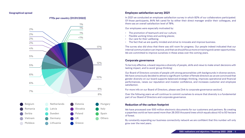#### **Geographical spread**

#### **FTEs per country (01/01/2022)**



#### **Employee satisfaction survey 2021**

The survey also did show that there was still room for progress. Our people indeed indicated that our internal communication can improve, and that we should focus more on training and career opportunities. We are committed to improve ourselves in these areas over the coming years.

In 2021 we conducted an employee satisfaction survey in which 82% of our collaborators participated. Of those participants, 84% felt cared for by either their direct manager and/or their colleagues, and there was an overall satisfaction level of 78%.

Our employees were especially motivated by:

- The promotion of teamwork and our culture;
- Flexible working times and working places;
- Our care for their wellbeing;
- The fact that we are quality minded and strive to innovate and improve business.

#### **Corporate governance**

To be truly effective, a board requires a diversity of people, skills and views to make smart decisions with lasting impact, and to avoid 'group thinking'.

Our Board of Directors consists of people with strong personalities with backgrounds in diverse sectors. We have consciously decided to attract a significant number of female directors as we are convinced that gender diversity on our board supports balanced strategic thinking, improves operational and financial performances, raises our reputation and investor confidence, and increases customer and employee satisfaction.

For more info on our Board of Directors, please see [link to corporate governance section].

Over the following years we will continue to commit ourselves to ensure that diversity is a fundamental part of our Board of Directors and corporate governance.

#### **Reduction of the carbon footprint**

We have processed over 500 million electronic documents for our customers and partners. By creating a paperless world we have saved more than 26.000 thousand trees which equals about 40 to 50 hectare of forest.

By constantly expanding our business connectivity network we are confident that this number will only grow over the next years.













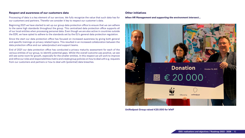#### **Respect and awareness of our customers data**

Processing of data is a key element of our services. We fully recognize the value that such data has for our customers and partners. Therefor we consider it key to respect our customer's data.

Beginning 2021 we have started to set up our group data protection office to ensure that we can adhere to the same high standards throughout the group. This centralized data protection office supports all of our local entities when processing personal data. Even though we are also active in countries outside the EER, we have opted to adhere to the standards set by the EU's general data protection regulation.

Since the start our data protection office has focused on increased awareness by giving both general and specific trainings on privacy related topics. This resulted in an increased collaboration between the data protection office and our sales/product and support teams.

End of 2021 our data protection office has conducted a privacy maturity assessment for each of the various entities of our group, to identify potential gaps. Whilst the overall outcome was positive, we see still see some room for growth, especially for the smaller entities. In this respect we will work to improve and refine our roles and responsibilities matrix and create group policies on how to deal with e.g. requests from our customers and partners or how to deal with (potential) data breaches.

#### **Other initiatives**

**Donation** October 15, 2021 € 20 000 **不可可 WWF** unifiedpost Offered by

*When HR Management and supporting the environment intersect…* 

**Unifiedpost Group raised €20.000 for WWF**

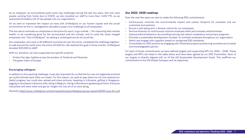As an employer, we encountered quite some new challenges during the last two years. Not only we people working from home due to COVID, we also doubled our staff to more than 1.400 FTE, so welcomed (virtually) a lot of new people into our organization.

As we want to maximize the impact we have with Unifiedpost on our human capital and the soc environment we live in, management decided to pose a fun challenge to all employees.

The aim was to motivate our employees to be active (to sport, to go outside ...) for improving their men health, to do something good for the environment and the climate, and to unite the newly merg employees into "One Unifiedpost", by setting a united goal across all countries.

Our employees, who work in 30 different countries all over the world, completed the challenge togeth to walk around the world once, the entire 40.000 km. We reached this goal in three months. Unifiedpo donated €20.000 to WWF.

With our donation, we have supported two specific projects:

- Protect the tiger habitat across the borders of Thailand and Myanmar;
- The green heart of Europe.

#### **Encouraging colleagues**

In addition to this sporting challenge, it was also important for us that the fun was not neglected and that we could motivate each other as a team. For this reason, we used an app where we not only entered our (daily) progress, but could also upload and share pictures: kayaking in Lithuania, golfing in Singapore, jogging on the beach in Estonia, bike riding in Belgium, hiking in Romania or gardening at home. Everyone networked with each other and got an insight into how all of us were doing.

More info:<https://www.unifiedpost.com/en/news/articles/unifiedpost-group-raised-20000-euro-for-wwf>

| ere<br>we                            | <b>Our 2022-2026 roadmap</b>                                                                                                                                                                                                                                                                                                                                                                                                                                                                                                                                                                                                                                                                                                                                                         |  |  |  |  |  |  |
|--------------------------------------|--------------------------------------------------------------------------------------------------------------------------------------------------------------------------------------------------------------------------------------------------------------------------------------------------------------------------------------------------------------------------------------------------------------------------------------------------------------------------------------------------------------------------------------------------------------------------------------------------------------------------------------------------------------------------------------------------------------------------------------------------------------------------------------|--|--|--|--|--|--|
|                                      | Over the next few years we want to make the following ESG commitments:                                                                                                                                                                                                                                                                                                                                                                                                                                                                                                                                                                                                                                                                                                               |  |  |  |  |  |  |
| $ci$ al<br>าtal<br>zed<br>er:<br>ost | Continuously minimize the environmental impact and carbon footprint for ourselves and our<br>$\bullet$<br>customers and partners.<br>Ensure a well-being and a diverse culture for our employees.<br>$\bullet$<br>Nurture diversity to continuously improve employee skills and company attractiveness.<br>$\bullet$<br>Improve ethical behaviour by providing training and robust compliance and privacy programs.<br>$\bullet$<br>Promote a sustainable development mindset, to motivate employee throughout our organization<br>$\bullet$<br>Select and engage with suppliers based on recognized ESG standards.<br>$\bullet$<br>Consolidate our ESG position by engaging with influential projects positioning ourselves as a trusted<br>$\bullet$<br>and knowledgeable partner. |  |  |  |  |  |  |
|                                      | For each of those commitments we have defined targets and supporting KPI's for 2022 - 2026. These<br>targets and KPI's are listed in the table below and have been agreed by our ESG Committee. Each of<br>our targets is directly aligned with on hf the UN Sustainable Development Goals. This reaffirms our<br>commitment to the UN Global Compact and its objectives.                                                                                                                                                                                                                                                                                                                                                                                                            |  |  |  |  |  |  |

**ESG: realisations and objectives / Roadmap 2022 - 2026** | 11



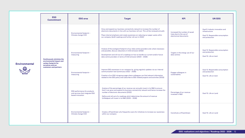|                                          | <b>ESG</b><br><b>Commitment</b>                                                                                                     | <b>ESG area</b>                                                                            | <b>Target</b>                                                                                                                                                                                                                                                                                                                                     | <b>KPI</b>                                                                         | <b>UN SDG</b>                                                                                           |
|------------------------------------------|-------------------------------------------------------------------------------------------------------------------------------------|--------------------------------------------------------------------------------------------|---------------------------------------------------------------------------------------------------------------------------------------------------------------------------------------------------------------------------------------------------------------------------------------------------------------------------------------------------|------------------------------------------------------------------------------------|---------------------------------------------------------------------------------------------------------|
|                                          | <b>Continuously minimize the</b><br>environmental impact and<br>carbon footprint for<br>ourselves and our<br>customers and partners | Environmental footprint -<br>Climate change CO2                                            | Grow and expand our business connectivity network to increase the number of<br>electronic documents in line with our business roll-out. This will be reviewed annually<br>Place internal emphasis and create awareness on reducing our paper waste within<br>our company (draft roadmap and further roll-out in 2022)                             | Increased the number of saved<br>trees due to the use of<br>electronical documents | Goal 9. Industry innovation and<br>infrastructure<br>Goal 12. Responsible consumption<br>and production |
|                                          |                                                                                                                                     | Environmental footprint -<br>measuring                                                     | Analyse of the ecological footprint of our data centre providers and; where necessary<br>and possible, discuss reductions in CO2 emission (2022)<br>Development and roll-out of a roadmap on how to handle our current and/or future<br>data centre providers in terms of CO2 emission (2023 - 2026)                                              | Targets in the energy use of our<br>data centres                                   | Goal 12. Responsible consumption<br>and production<br>Goal 15. Life on land                             |
| <b>Environmental</b><br>A<br>$\bigoplus$ |                                                                                                                                     | Environmental footprint -<br>measuring                                                     | Improve ESG awareness in our company by giving regularly updates via our internal<br>communication tool (continuous 2022 - 2026)<br>Creation of an ESG intragroup page where colleagues can find relevant information<br>related to the ESG policy and subscribe to ESG related projects and activities (2023)                                    | Engage colleagues in<br>sustainability                                             | Goal 12. Responsible consumption<br>and production<br>Goal 15. Life on land                             |
|                                          |                                                                                                                                     | <b>ESG performance for products</b><br>and services that integrate ESG<br>based innovation | Analyse of the percentage of our revenue can annually invest in its R&D to ensure<br>that it can grow and expand its business connectivity network and hence increase the<br>number of electronic documents (2022)<br>Define and roll-out of a roadmap which determines the amount of revenue<br>Unifiedpost will invest in its R&D (2023 - 2026) | Percentage of our revenue<br>invested in R&D                                       | Goal 15. Life on Land                                                                                   |
|                                          |                                                                                                                                     | Environmental footprint -<br>Climate change CO2                                            | Create a #TeamGreen who frequently scans for initiatives to increase our awareness<br>within our company                                                                                                                                                                                                                                          | Constitute a #TeamGreen                                                            | Goal 15. Life on Land                                                                                   |





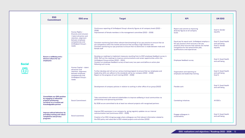|               | <b>ESG</b><br><b>Commitment</b>                                                                                                                                                                                             | <b>ESG area</b>                                                                                                                                                             | <b>Target</b>                                                                                                                                                                                                                                                                                                                                           | <b>KPI</b>                                                                                                                                                                                                                   | <b>UN SDG</b>                                                       |
|---------------|-----------------------------------------------------------------------------------------------------------------------------------------------------------------------------------------------------------------------------|-----------------------------------------------------------------------------------------------------------------------------------------------------------------------------|---------------------------------------------------------------------------------------------------------------------------------------------------------------------------------------------------------------------------------------------------------------------------------------------------------------------------------------------------------|------------------------------------------------------------------------------------------------------------------------------------------------------------------------------------------------------------------------------|---------------------------------------------------------------------|
|               | <b>Ensure a wellbeing and a</b><br>diverse culture for our<br>employees<br><b>Consolidate our ESG position</b><br>by engaging in influential<br>projects positioning<br>ourselves as a trusted and<br>knowledgeable partner | Human Rights -<br>Diversity and inclusion<br>/ talent attraction and<br>retention, alignment<br>between employee<br>competencies and<br><b>Unifiedpost Group's</b><br>needs | Continuous reporting of Unifiedpost Group's diversity figures at all company levels (2022 -<br>2026)<br>Improvement of female members in the management committee (2022 - 2026)                                                                                                                                                                         | Report and commit to improving<br>diversity figures at all company<br>levels                                                                                                                                                 | Goal 5. Gender<br>equality                                          |
|               |                                                                                                                                                                                                                             |                                                                                                                                                                             | Constant monitoring (and where relevant benchmarking) of our pay practice to ensure that we<br>are competitive within the market and ensure that we keep a high retention rate<br>Constant monitoring our pay practices to ensure that no distinction is made between male and<br>female staff                                                          | Equal pay for equal work: Unifiedpost employs a<br>fair pay practice which ensures a fair pay<br>practice which ensures that salaries are market<br>competitive for the same/similar jobs,<br>qualifications and experiences | Goal 3. Good Health<br>and well being<br>Goal 5. Gender<br>equality |
| <b>Social</b> |                                                                                                                                                                                                                             | Human Capital - talent<br>attraction and<br>retention, alignment<br>between employee<br>competencies and<br><b>Unifiedpost Group's</b><br>needs                             | Develop g a roadmap to implement measures resulting from to 2021 employee feedback survey in<br>2022. Roll out the roadmap to improve communications and career opportunities within the<br>Unifiedpost Group entities (2022 - 2024)<br>Conduct an employee feedback survey at least every two years and define an action plan<br>following such survey | Employee feedback survey                                                                                                                                                                                                     | <b>Goal 3. Good Health</b><br>and well being                        |
| OXQ           |                                                                                                                                                                                                                             |                                                                                                                                                                             | Further develop and roll out our various training program to ensure that our employees and<br>leadership skills can adhere to the standards set by our company (2022 - 2026)<br>Report on the progress of such training (2022 - 2026)                                                                                                                   | Organisation and reporting on<br>employee and leadership training                                                                                                                                                            | <b>Goal 3. Good Health</b><br>and well being<br>Goal 5.             |
|               |                                                                                                                                                                                                                             |                                                                                                                                                                             | Development of company policies in relation to working in other office of our group (2022)                                                                                                                                                                                                                                                              | Flexible work                                                                                                                                                                                                                | Goal 3. Good Health<br>and well being                               |
|               |                                                                                                                                                                                                                             | <b>Social Commitment</b>                                                                                                                                                    | Take commitment with external stakeholders to improve wellbeing in local communities via<br>partnerships and sponsoring activities<br>By 2026 we are committed to do at least two relevant projects with recognised partners                                                                                                                            | <b>Caretaking initiatives</b>                                                                                                                                                                                                | All ESG's                                                           |
|               | <b>Improve ethical behaviour by</b><br>providing training and robust<br><b>compliance and privacy</b><br><b>programs</b>                                                                                                    | Social awareness                                                                                                                                                            | Improve ESG awareness in our company by giving regularly updates via our internal<br>communication tool (continuous 2022 - 2026)<br>Creation of an ESG intragroup page where colleagues can find relevant information related to<br>the ESG policy and subscribe to ESG related projects and activities (2023)                                          | Engage colleagues in<br>sustainability                                                                                                                                                                                       | <b>Goal 3. Good Health</b><br>and well being                        |